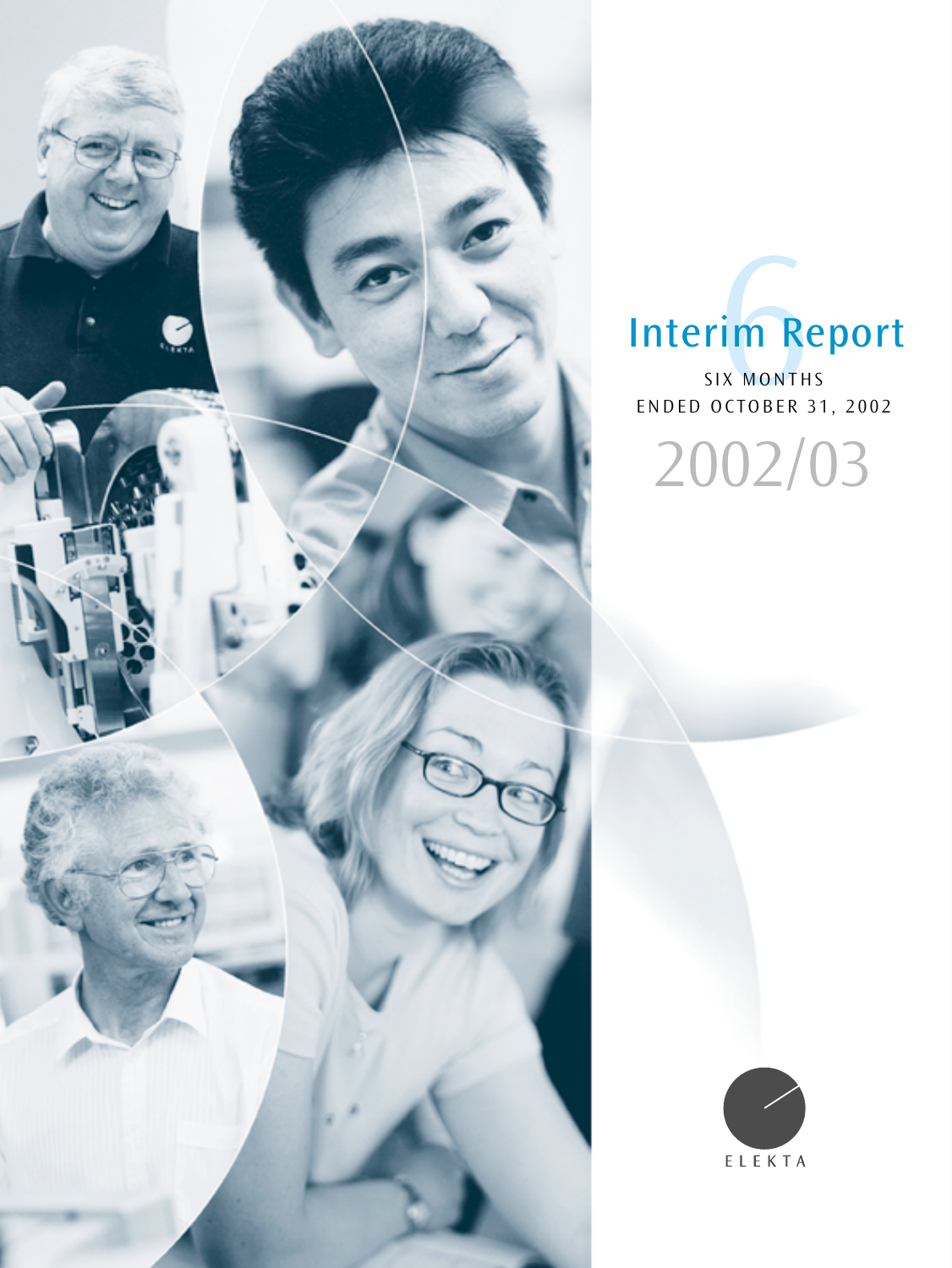

# Interim Report

ENDED OCTOBER 31, 2002 **Tim Re**<br>SIX MONTHS<br>OCTOBER 3 2002/03

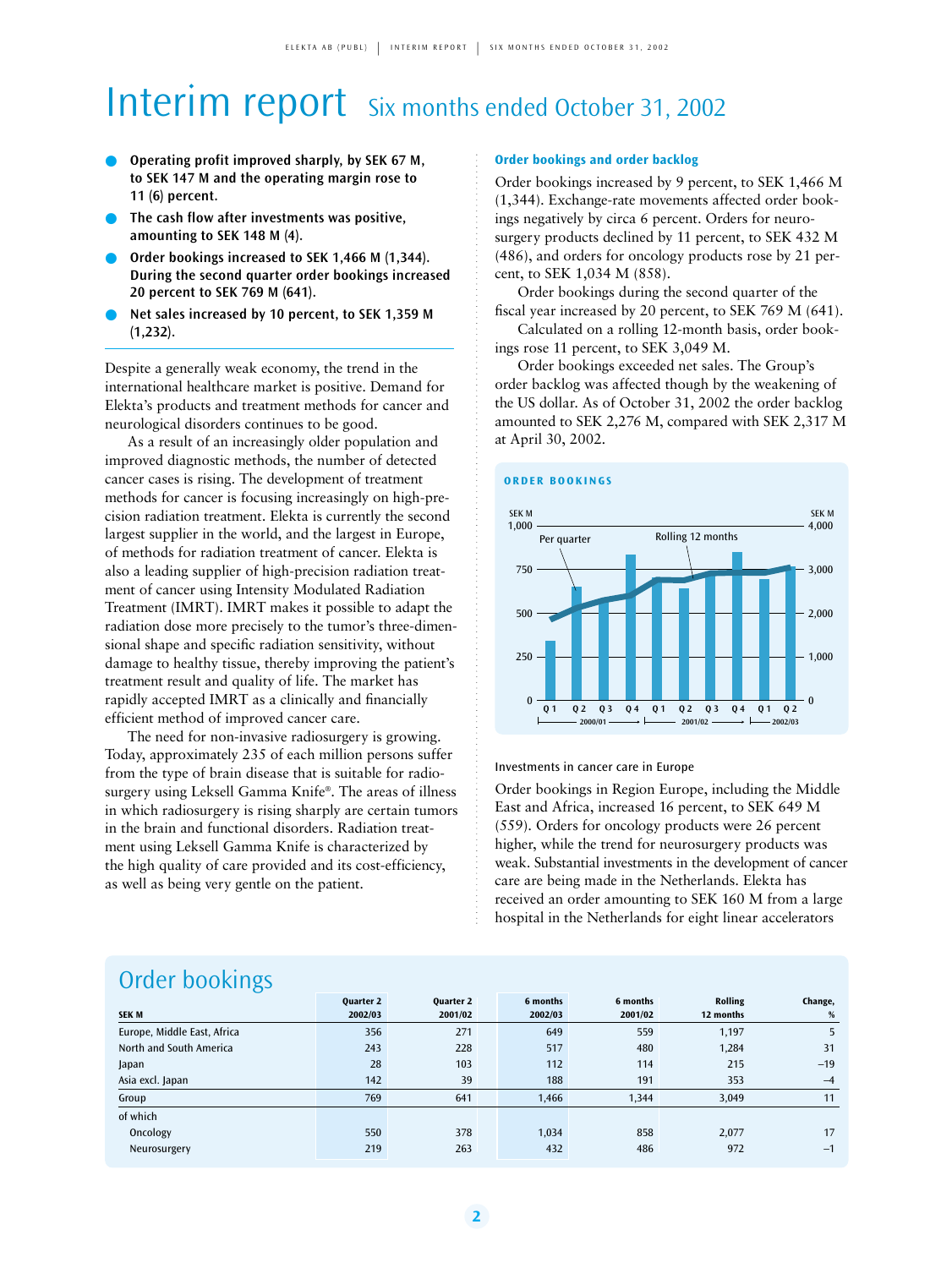## Interim report Six months ended October 31, 2002

- **Operating profit improved sharply, by SEK 67 M, to SEK 147 M and the operating margin rose to 11 (6) percent.**
- **The cash flow after investments was positive, amounting to SEK 148 M (4).**
- Order bookings increased to SEK 1,466 M (1,344). **During the second quarter order bookings increased 20 percent to SEK 769 M (641).**
- Net sales increased by 10 percent, to SEK 1,359 M **(1,232).**

Despite a generally weak economy, the trend in the international healthcare market is positive. Demand for Elekta's products and treatment methods for cancer and neurological disorders continues to be good.

As a result of an increasingly older population and improved diagnostic methods, the number of detected cancer cases is rising. The development of treatment methods for cancer is focusing increasingly on high-precision radiation treatment. Elekta is currently the second largest supplier in the world, and the largest in Europe, of methods for radiation treatment of cancer. Elekta is also a leading supplier of high-precision radiation treatment of cancer using Intensity Modulated Radiation Treatment (IMRT). IMRT makes it possible to adapt the radiation dose more precisely to the tumor's three-dimensional shape and specific radiation sensitivity, without damage to healthy tissue, thereby improving the patient's treatment result and quality of life. The market has rapidly accepted IMRT as a clinically and financially efficient method of improved cancer care.

The need for non-invasive radiosurgery is growing. Today, approximately 235 of each million persons suffer from the type of brain disease that is suitable for radiosurgery using Leksell Gamma Knife®. The areas of illness in which radiosurgery is rising sharply are certain tumors in the brain and functional disorders. Radiation treatment using Leksell Gamma Knife is characterized by the high quality of care provided and its cost-efficiency, as well as being very gentle on the patient.

#### **Order bookings and order backlog**

Order bookings increased by 9 percent, to SEK 1,466 M (1,344). Exchange-rate movements affected order bookings negatively by circa 6 percent. Orders for neurosurgery products declined by 11 percent, to SEK 432 M (486), and orders for oncology products rose by 21 percent, to SEK 1,034 M (858).

Order bookings during the second quarter of the fiscal year increased by 20 percent, to SEK 769 M (641).

Calculated on a rolling 12-month basis, order bookings rose 11 percent, to SEK 3,049 M.

Order bookings exceeded net sales. The Group's order backlog was affected though by the weakening of the US dollar. As of October 31, 2002 the order backlog amounted to SEK 2,276 M, compared with SEK 2,317 M at April 30, 2002.

#### **ORDER BOOKINGS**



Investments in cancer care in Europe

Order bookings in Region Europe, including the Middle East and Africa, increased 16 percent, to SEK 649 M (559). Orders for oncology products were 26 percent higher, while the trend for neurosurgery products was weak. Substantial investments in the development of cancer care are being made in the Netherlands. Elekta has received an order amounting to SEK 160 M from a large hospital in the Netherlands for eight linear accelerators

### Order bookings

| $\tilde{\phantom{a}}$       | <b>Quarter 2</b> | <b>Ouarter 2</b> | 6 months | 6 months | <b>Rolling</b> | Change, |
|-----------------------------|------------------|------------------|----------|----------|----------------|---------|
| <b>SEK M</b>                | 2002/03          | 2001/02          | 2002/03  | 2001/02  | 12 months      | %       |
| Europe, Middle East, Africa | 356              | 271              | 649      | 559      | 1.197          | 5       |
| North and South America     | 243              | 228              | 517      | 480      | 1,284          | 31      |
| Japan                       | 28               | 103              | 112      | 114      | 215            | $-19$   |
| Asia excl. Japan            | 142              | 39               | 188      | 191      | 353            | $-4$    |
| Group                       | 769              | 641              | 1,466    | 1,344    | 3,049          | 11      |
| of which                    |                  |                  |          |          |                |         |
| Oncology                    | 550              | 378              | 1,034    | 858      | 2,077          | 17      |
| Neurosurgery                | 219              | 263              | 432      | 486      | 972            | $-1$    |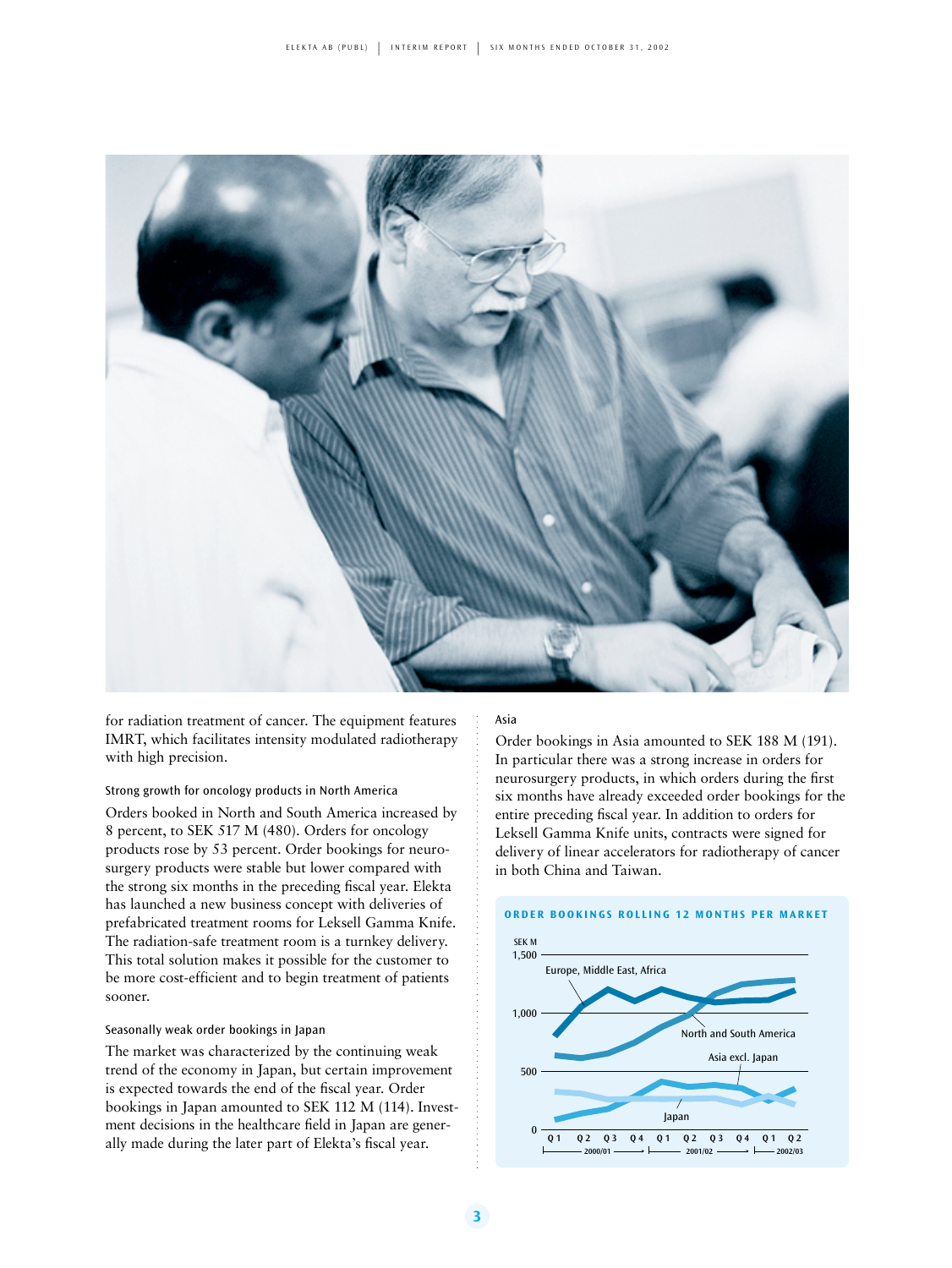

for radiation treatment of cancer. The equipment features IMRT, which facilitates intensity modulated radiotherapy with high precision.

#### Strong growth for oncology products in North America

Orders booked in North and South America increased by 8 percent, to SEK 517 M (480). Orders for oncology products rose by 53 percent. Order bookings for neurosurgery products were stable but lower compared with the strong six months in the preceding fiscal year. Elekta has launched a new business concept with deliveries of prefabricated treatment rooms for Leksell Gamma Knife. The radiation-safe treatment room is a turnkey delivery. This total solution makes it possible for the customer to be more cost-efficient and to begin treatment of patients sooner.

#### Seasonally weak order bookings in Japan

The market was characterized by the continuing weak trend of the economy in Japan, but certain improvement is expected towards the end of the fiscal year. Order bookings in Japan amounted to SEK 112 M (114). Investment decisions in the healthcare field in Japan are generally made during the later part of Elekta's fiscal year.

#### Asia

Order bookings in Asia amounted to SEK 188 M (191). In particular there was a strong increase in orders for neurosurgery products, in which orders during the first six months have already exceeded order bookings for the entire preceding fiscal year. In addition to orders for Leksell Gamma Knife units, contracts were signed for delivery of linear accelerators for radiotherapy of cancer in both China and Taiwan.

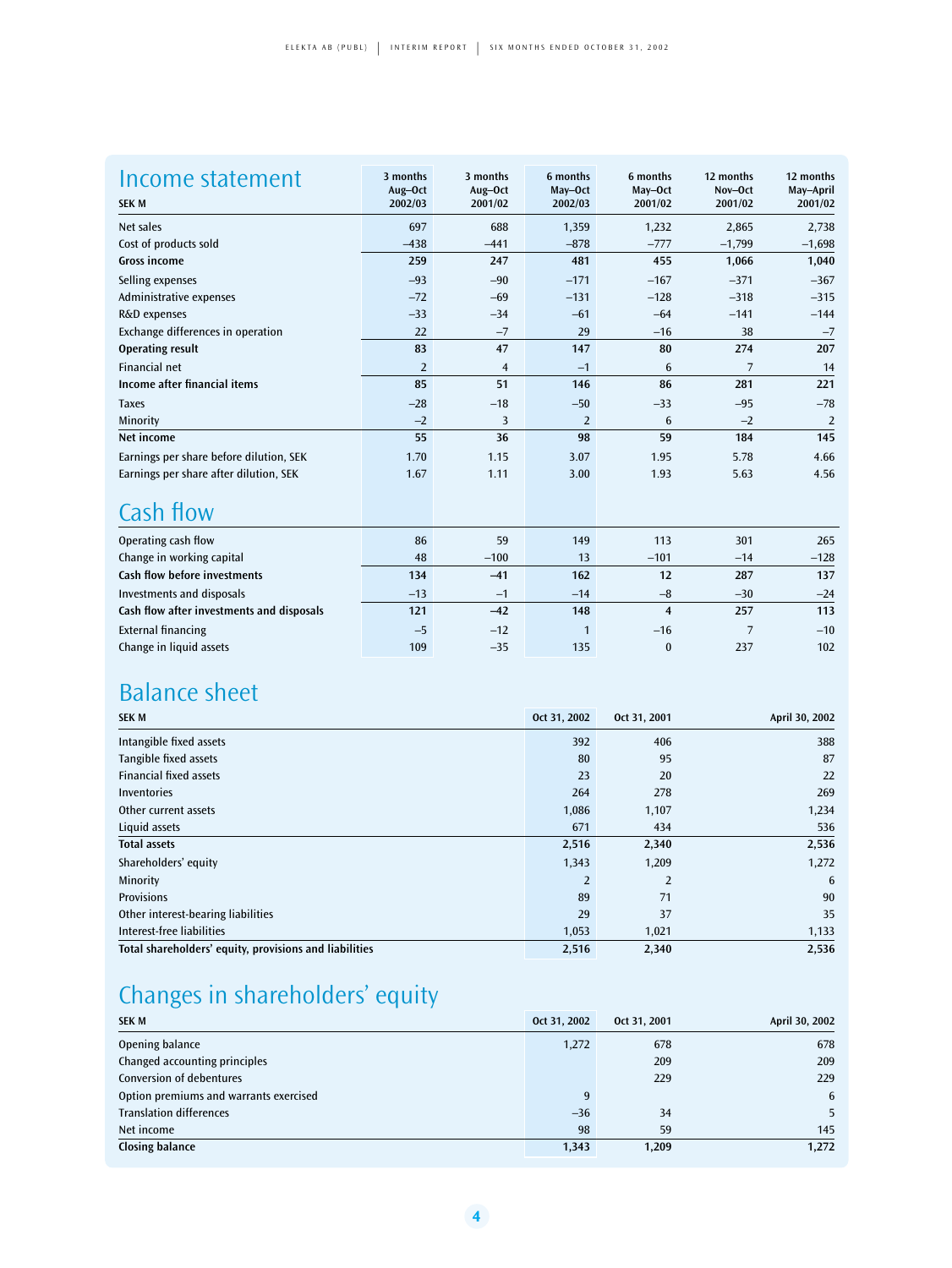| Income statement<br><b>SEK M</b>        | 3 months<br>Aug-Oct<br>2002/03 | 3 months<br>Aug-Oct<br>2001/02 | 6 months<br>May-Oct<br>2002/03 | 6 months<br>May-Oct<br>2001/02 | 12 months<br>Nov-Oct<br>2001/02 | 12 months<br>May-April<br>2001/02 |
|-----------------------------------------|--------------------------------|--------------------------------|--------------------------------|--------------------------------|---------------------------------|-----------------------------------|
|                                         |                                |                                |                                |                                |                                 |                                   |
| Net sales                               | 697                            | 688                            | 1,359                          | 1,232                          | 2,865                           | 2,738                             |
| Cost of products sold                   | $-438$                         | $-441$                         | $-878$                         | $-777$                         | $-1,799$                        | $-1,698$                          |
| <b>Gross income</b>                     | 259                            | 247                            | 481                            | 455                            | 1,066                           | 1,040                             |
| Selling expenses                        | $-93$                          | $-90$                          | $-171$                         | $-167$                         | $-371$                          | $-367$                            |
| Administrative expenses                 | $-72$                          | $-69$                          | $-131$                         | $-128$                         | $-318$                          | $-315$                            |
| R&D expenses                            | $-33$                          | $-34$                          | $-61$                          | $-64$                          | $-141$                          | $-144$                            |
| Exchange differences in operation       | 22                             | $-7$                           | 29                             | $-16$                          | 38                              | $-7$                              |
| <b>Operating result</b>                 | 83                             | 47                             | 147                            | 80                             | 274                             | 207                               |
| <b>Financial net</b>                    | $\overline{2}$                 | $\overline{4}$                 | $-1$                           | 6                              | $\overline{7}$                  | 14                                |
| Income after financial items            | 85                             | 51                             | 146                            | 86                             | 281                             | 221                               |
| <b>Taxes</b>                            | $-28$                          | $-18$                          | $-50$                          | $-33$                          | $-95$                           | $-78$                             |
| Minority                                | $-2$                           | 3                              | $\overline{2}$                 | 6                              | $-2$                            | $\overline{2}$                    |
| Net income                              | 55                             | 36                             | 98                             | 59                             | 184                             | 145                               |
| Earnings per share before dilution, SEK | 1.70                           | 1.15                           | 3.07                           | 1.95                           | 5.78                            | 4.66                              |
| Earnings per share after dilution, SEK  | 1.67                           | 1.11                           | 3.00                           | 1.93                           | 5.63                            | 4.56                              |

### Cash flow

| Operating cash flow                       | 86    | 59     | 149   | 113          | 301   | 265       |
|-------------------------------------------|-------|--------|-------|--------------|-------|-----------|
| Change in working capital                 | 48    | $-100$ | 13    | $-101$       | $-14$ | $-128$    |
| Cash flow before investments              | 134   | $-41$  | 162   | 12           | 287   | 137       |
| Investments and disposals                 | $-13$ | $-1$   | $-14$ | $-8$         | $-30$ | $-24$     |
| Cash flow after investments and disposals | 121   | $-42$  | 148   |              | 257   | 113       |
| <b>External financing</b>                 | $-5$  | $-12$  |       | $-16$        |       | $-10^{-}$ |
| Change in liquid assets                   | 109   | $-35$  | 135   | $\mathbf{0}$ | 237   | 102       |

### Balance sheet

| <b>SEK M</b>                                           | Oct 31, 2002   | Oct 31, 2001   | April 30, 2002 |
|--------------------------------------------------------|----------------|----------------|----------------|
| Intangible fixed assets                                | 392            | 406            | 388            |
| Tangible fixed assets                                  | 80             | 95             | 87             |
| <b>Financial fixed assets</b>                          | 23             | 20             | 22             |
| <b>Inventories</b>                                     | 264            | 278            | 269            |
| Other current assets                                   | 1,086          | 1,107          | 1,234          |
| Liquid assets                                          | 671            | 434            | 536            |
| <b>Total assets</b>                                    | 2,516          | 2,340          | 2,536          |
| Shareholders' equity                                   | 1,343          | 1,209          | 1,272          |
| Minority                                               | $\overline{2}$ | $\overline{2}$ | 6              |
| <b>Provisions</b>                                      | 89             | 71             | 90             |
| Other interest-bearing liabilities                     | 29             | 37             | 35             |
| Interest-free liabilities                              | 1,053          | 1,021          | 1,133          |
| Total shareholders' equity, provisions and liabilities | 2,516          | 2,340          | 2,536          |

### Changes in shareholders' equity

| <b>SEK M</b>                           | Oct 31, 2002 | Oct 31, 2001 | April 30, 2002 |
|----------------------------------------|--------------|--------------|----------------|
| Opening balance                        | 1,272        | 678          | 678            |
| Changed accounting principles          |              | 209          | 209            |
| <b>Conversion of debentures</b>        |              | 229          | 229            |
| Option premiums and warrants exercised | 9            |              | 6              |
| <b>Translation differences</b>         | $-36$        | 34           | 5              |
| Net income                             | 98           | 59           | 145            |
| <b>Closing balance</b>                 | 1,343        | 1,209        | 1,272          |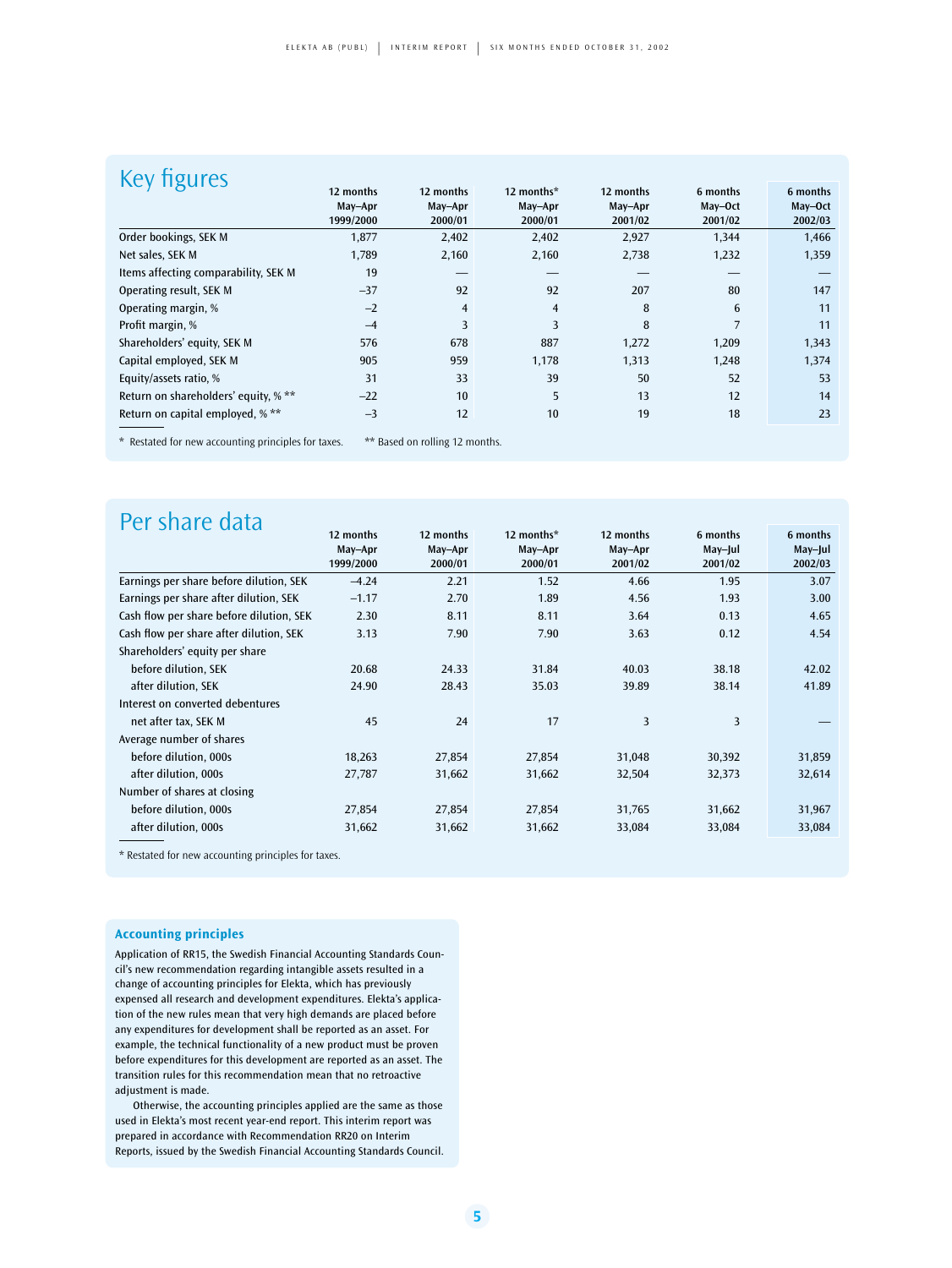| <b>hgures</b>                        |           |                |                |           |          |          |
|--------------------------------------|-----------|----------------|----------------|-----------|----------|----------|
|                                      | 12 months | 12 months      | 12 months*     | 12 months | 6 months | 6 months |
|                                      | May-Apr   | May-Apr        | May-Apr        | May-Apr   | May-Oct  | May-Oct  |
|                                      | 1999/2000 | 2000/01        | 2000/01        | 2001/02   | 2001/02  | 2002/03  |
| Order bookings, SEK M                | 1,877     | 2,402          | 2,402          | 2,927     | 1,344    | 1,466    |
| Net sales, SEK M                     | 1,789     | 2,160          | 2,160          | 2,738     | 1,232    | 1,359    |
| Items affecting comparability, SEK M | 19        |                |                |           |          |          |
| Operating result, SEK M              | $-37$     | 92             | 92             | 207       | 80       | 147      |
| Operating margin, %                  | $-2$      | $\overline{4}$ | $\overline{4}$ | 8         | 6        | 11       |
| Profit margin, %                     | $-4$      | 3              | 3              | 8         | 7        | 11       |
| Shareholders' equity, SEK M          | 576       | 678            | 887            | 1,272     | 1,209    | 1,343    |
| Capital employed, SEK M              | 905       | 959            | 1,178          | 1,313     | 1,248    | 1,374    |
| Equity/assets ratio, %               | 31        | 33             | 39             | 50        | 52       | 53       |
| Return on shareholders' equity, % ** | $-22$     | 10             | 5              | 13        | 12       | 14       |
| Return on capital employed, % **     | $-3$      | 12             | 10             | 19        | 18       | 23       |
|                                      |           |                |                |           |          |          |

\* Restated for new accounting principles for taxes. \*\* Based on rolling 12 months.

| Per share data                           |           |           |            |           |          |          |
|------------------------------------------|-----------|-----------|------------|-----------|----------|----------|
|                                          | 12 months | 12 months | 12 months* | 12 months | 6 months | 6 months |
|                                          | May-Apr   | May-Apr   | May-Apr    | May-Apr   | May-Jul  | May-Jul  |
|                                          | 1999/2000 | 2000/01   | 2000/01    | 2001/02   | 2001/02  | 2002/03  |
| Earnings per share before dilution, SEK  | $-4.24$   | 2.21      | 1.52       | 4.66      | 1.95     | 3.07     |
| Earnings per share after dilution, SEK   | $-1.17$   | 2.70      | 1.89       | 4.56      | 1.93     | 3.00     |
| Cash flow per share before dilution, SEK | 2.30      | 8.11      | 8.11       | 3.64      | 0.13     | 4.65     |
| Cash flow per share after dilution, SEK  | 3.13      | 7.90      | 7.90       | 3.63      | 0.12     | 4.54     |
| Shareholders' equity per share           |           |           |            |           |          |          |
| before dilution, SEK                     | 20.68     | 24.33     | 31.84      | 40.03     | 38.18    | 42.02    |
| after dilution, SEK                      | 24.90     | 28.43     | 35.03      | 39.89     | 38.14    | 41.89    |
| Interest on converted debentures         |           |           |            |           |          |          |
| net after tax, SEK M                     | 45        | 24        | 17         | 3         | 3        |          |
| Average number of shares                 |           |           |            |           |          |          |
| before dilution, 000s                    | 18,263    | 27,854    | 27,854     | 31,048    | 30,392   | 31,859   |
| after dilution, 000s                     | 27,787    | 31,662    | 31,662     | 32,504    | 32,373   | 32,614   |
| Number of shares at closing              |           |           |            |           |          |          |
| before dilution, 000s                    | 27,854    | 27,854    | 27,854     | 31,765    | 31,662   | 31,967   |
| after dilution, 000s                     | 31,662    | 31,662    | 31,662     | 33,084    | 33,084   | 33,084   |
|                                          |           |           |            |           |          |          |

\* Restated for new accounting principles for taxes.

#### **Accounting principles**

Application of RR15, the Swedish Financial Accounting Standards Council's new recommendation regarding intangible assets resulted in a change of accounting principles for Elekta, which has previously expensed all research and development expenditures. Elekta's application of the new rules mean that very high demands are placed before any expenditures for development shall be reported as an asset. For example, the technical functionality of a new product must be proven before expenditures for this development are reported as an asset. The transition rules for this recommendation mean that no retroactive adjustment is made.

Otherwise, the accounting principles applied are the same as those used in Elekta's most recent year-end report. This interim report was prepared in accordance with Recommendation RR20 on Interim Reports, issued by the Swedish Financial Accounting Standards Council.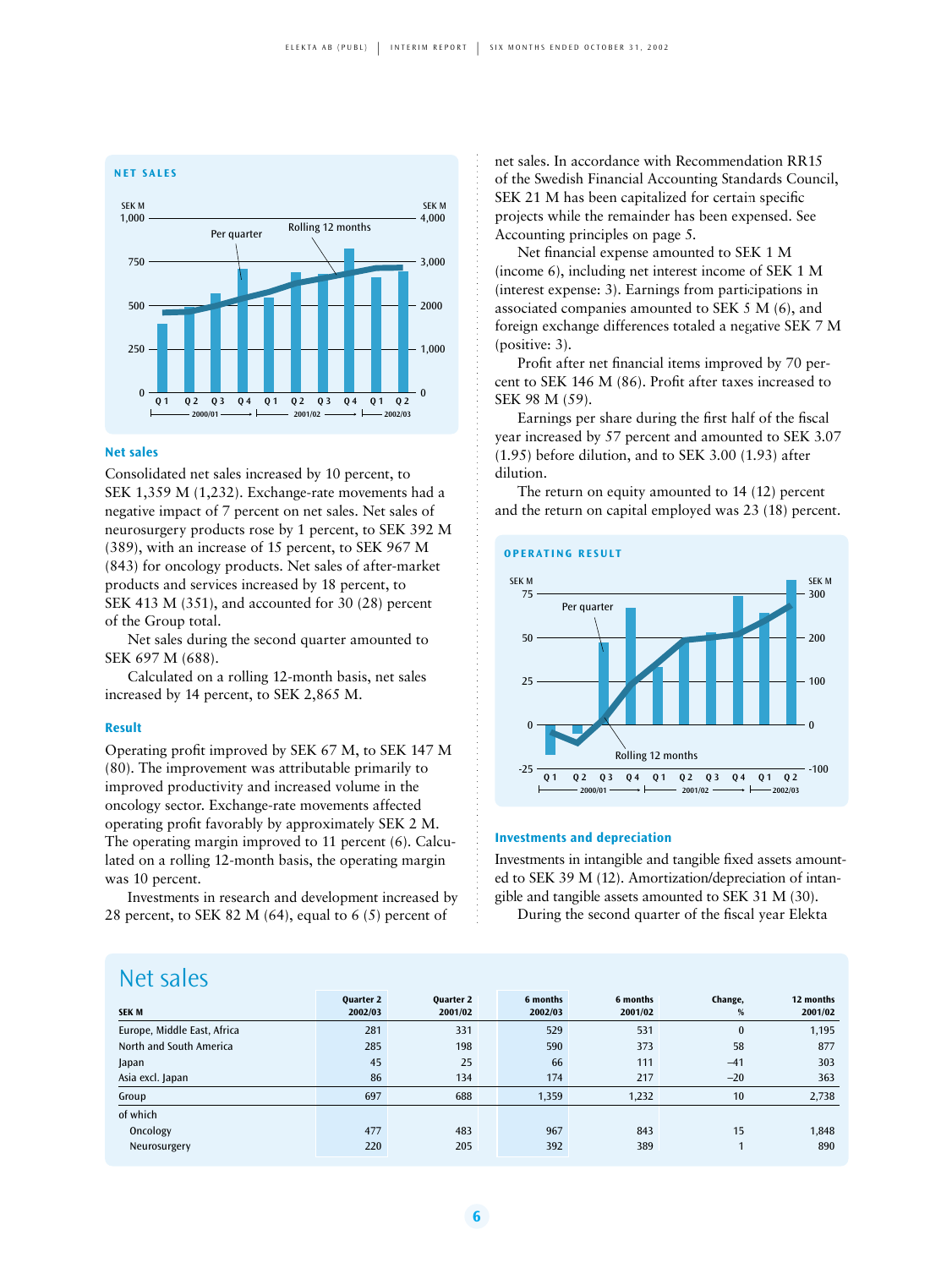

#### **Net sales**

Consolidated net sales increased by 10 percent, to SEK 1,359 M (1,232). Exchange-rate movements had a negative impact of 7 percent on net sales. Net sales of neurosurgery products rose by 1 percent, to SEK 392 M (389), with an increase of 15 percent, to SEK 967 M (843) for oncology products. Net sales of after-market products and services increased by 18 percent, to SEK 413 M (351), and accounted for 30 (28) percent of the Group total.

Net sales during the second quarter amounted to SEK 697 M (688).

Calculated on a rolling 12-month basis, net sales increased by 14 percent, to SEK 2,865 M.

#### **Result**

Operating profit improved by SEK 67 M, to SEK 147 M (80). The improvement was attributable primarily to improved productivity and increased volume in the oncology sector. Exchange-rate movements affected operating profit favorably by approximately SEK 2 M. The operating margin improved to 11 percent (6). Calculated on a rolling 12-month basis, the operating margin was 10 percent.

Investments in research and development increased by 28 percent, to SEK 82 M (64), equal to 6 (5) percent of

net sales. In accordance with Recommendation RR15 of the Swedish Financial Accounting Standards Council, SEK 21 M has been capitalized for certain specific projects while the remainder has been expensed. See Accounting principles on page 5.

Net financial expense amounted to SEK 1 M (income 6), including net interest income of SEK 1 M (interest expense: 3). Earnings from participations in associated companies amounted to SEK 5 M (6), and foreign exchange differences totaled a negative SEK 7 M (positive: 3).

Profit after net financial items improved by 70 percent to SEK 146 M (86). Profit after taxes increased to SEK 98 M (59).

Earnings per share during the first half of the fiscal year increased by 57 percent and amounted to SEK 3.07 (1.95) before dilution, and to SEK 3.00 (1.93) after dilution.

The return on equity amounted to 14 (12) percent and the return on capital employed was 23 (18) percent.



#### **Investments and depreciation**

Investments in intangible and tangible fixed assets amounted to SEK 39 M (12). Amortization/depreciation of intangible and tangible assets amounted to SEK 31 M (30).

During the second quarter of the fiscal year Elekta

### Net sales

| <b>SEK M</b>                | <b>Ouarter 2</b><br>2002/03 | <b>Ouarter 2</b><br>2001/02 | 6 months<br>2002/03 | 6 months<br>2001/02 | Change,<br>$\%$ | 12 months<br>2001/02 |
|-----------------------------|-----------------------------|-----------------------------|---------------------|---------------------|-----------------|----------------------|
| Europe, Middle East, Africa | 281                         | 331                         | 529                 | 531                 | $\bf{0}$        | 1,195                |
| North and South America     | 285                         | 198                         | 590                 | 373                 | 58              | 877                  |
| Japan                       | 45                          | 25                          | 66                  | 111                 | $-41$           | 303                  |
| Asia excl. Japan            | 86                          | 134                         | 174                 | 217                 | $-20$           | 363                  |
| Group                       | 697                         | 688                         | 1,359               | 1,232               | 10              | 2,738                |
| of which                    |                             |                             |                     |                     |                 |                      |
| Oncology                    | 477                         | 483                         | 967                 | 843                 | 15              | 1,848                |
| Neurosurgery                | 220                         | 205                         | 392                 | 389                 |                 | 890                  |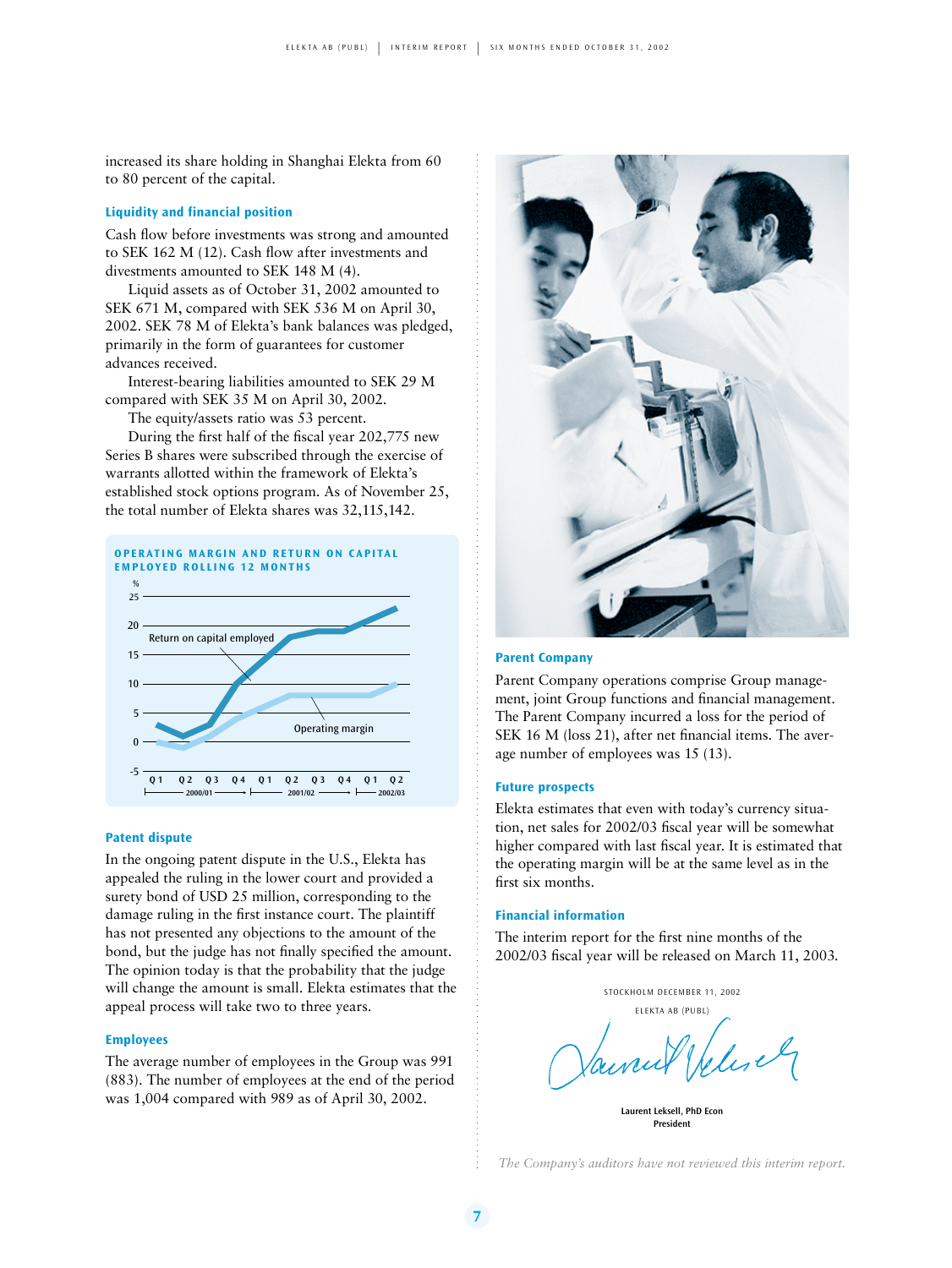increased its share holding in Shanghai Elekta from 60 to 80 percent of the capital.

#### **Liquidity and financial position**

Cash flow before investments was strong and amounted to SEK 162 M (12). Cash flow after investments and divestments amounted to SEK 148 M (4).

Liquid assets as of October 31, 2002 amounted to SEK 671 M, compared with SEK 536 M on April 30, 2002. SEK 78 M of Elekta's bank balances was pledged, primarily in the form of guarantees for customer advances received.

Interest-bearing liabilities amounted to SEK 29 M compared with SEK 35 M on April 30, 2002.

The equity/assets ratio was 53 percent.

During the first half of the fiscal year 202,775 new Series B shares were subscribed through the exercise of warrants allotted within the framework of Elekta's established stock options program. As of November 25, the total number of Elekta shares was 32,115,142.



#### **Patent dispute**

In the ongoing patent dispute in the U.S., Elekta has appealed the ruling in the lower court and provided a surety bond of USD 25 million, corresponding to the damage ruling in the first instance court. The plaintiff has not presented any objections to the amount of the bond, but the judge has not finally specified the amount. The opinion today is that the probability that the judge will change the amount is small. Elekta estimates that the appeal process will take two to three years.

#### **Employees**

The average number of employees in the Group was 991 (883). The number of employees at the end of the period was 1,004 compared with 989 as of April 30, 2002.



#### **Parent Company**

Parent Company operations comprise Group management, joint Group functions and financial management. The Parent Company incurred a loss for the period of SEK 16 M (loss 21), after net financial items. The average number of employees was 15 (13).

#### **Future prospects**

Elekta estimates that even with today's currency situation, net sales for 2002/03 fiscal year will be somewhat higher compared with last fiscal year. It is estimated that the operating margin will be at the same level as in the first six months.

#### **Financial information**

The interim report for the first nine months of the 2002/03 fiscal year will be released on March 11, 2003.



**President**

*The Company's auditors have not reviewed this interim report.*